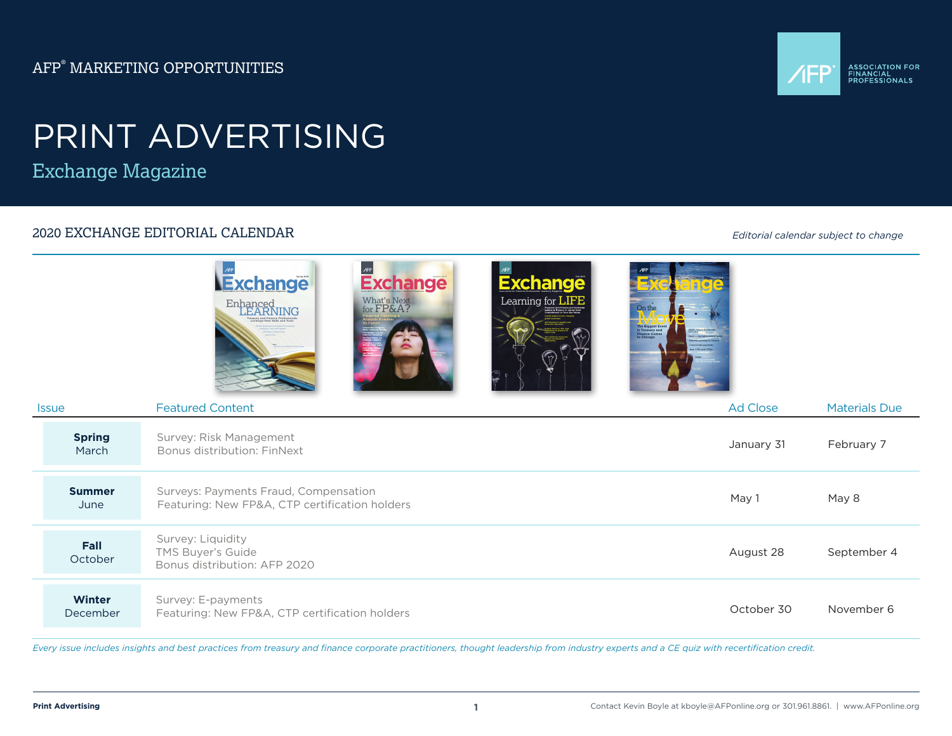AFP® MARKETING OPPORTUNITIES



## PRINT ADVERTISING

Exchange Magazine

### 2020 EXCHANGE EDITORIAL CALENDAR

*Editorial calendar subject to change*

|                           | /FP<br>Exchange<br><b>Exchange</b><br><b>Exchange</b><br>Learning for LIFE<br>What's Next<br>for FP&A?<br>Enhanced<br>LEARNING<br>On the<br>The Biggest Ever<br>In Treasury and<br>Finance Comes<br>to Chicago |            |                      |
|---------------------------|----------------------------------------------------------------------------------------------------------------------------------------------------------------------------------------------------------------|------------|----------------------|
| <b>Issue</b>              | <b>Featured Content</b>                                                                                                                                                                                        | Ad Close   | <b>Materials Due</b> |
| <b>Spring</b><br>March    | Survey: Risk Management<br>Bonus distribution: FinNext                                                                                                                                                         | January 31 | February 7           |
| <b>Summer</b><br>June     | Surveys: Payments Fraud, Compensation<br>Featuring: New FP&A, CTP certification holders                                                                                                                        | May 1      | May 8                |
| Fall<br>October           | Survey: Liquidity<br>TMS Buyer's Guide<br>Bonus distribution: AFP 2020                                                                                                                                         | August 28  | September 4          |
| <b>Winter</b><br>December | Survey: E-payments<br>Featuring: New FP&A, CTP certification holders                                                                                                                                           | October 30 | November 6           |

*Every issue includes insights and best practices from treasury and finance corporate practitioners, thought leadership from industry experts and a CE quiz with recertification credit.*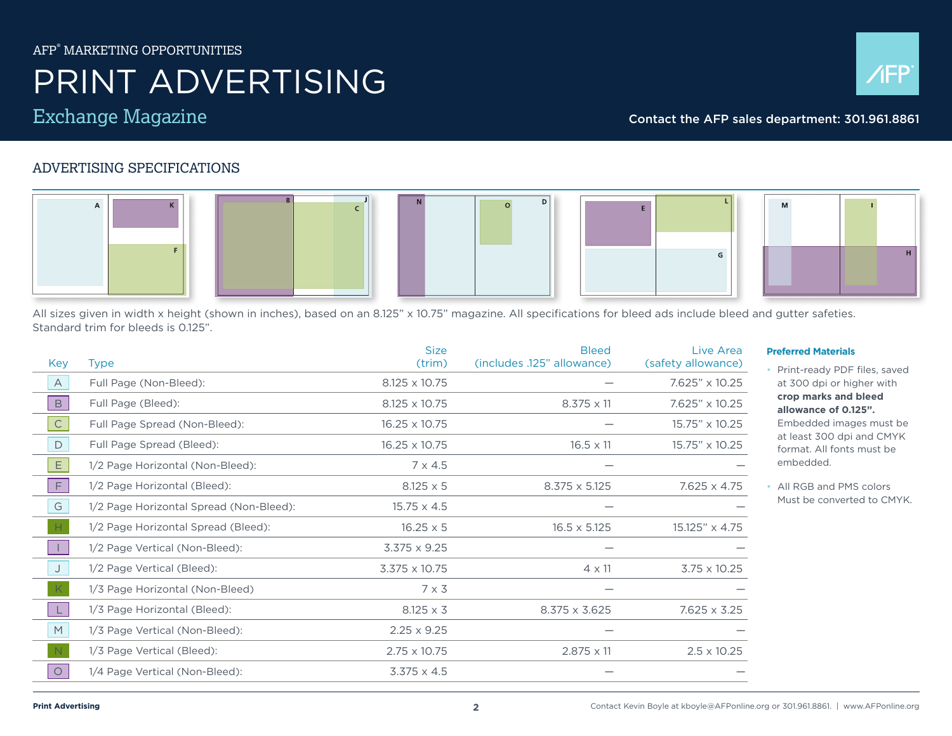### AFP® MARKETING OPPORTUNITIES

## PRINT ADVERTISING





### Exchange Magazine Contact the AFP sales department: 301.961.8861

### ADVERTISING SPECIFICATIONS



All sizes given in width x height (shown in inches), based on an 8.125" x 10.75" magazine. All specifications for bleed ads include bleed and gutter safeties. Standard trim for bleeds is 0.125".

| Key          | <b>Type</b>                             | <b>Size</b><br>(trim) | <b>Bleed</b><br>(includes .125" allowance) | Live Area<br>(safety allowance) |
|--------------|-----------------------------------------|-----------------------|--------------------------------------------|---------------------------------|
| $\mathsf{A}$ | Full Page (Non-Bleed):                  | 8.125 x 10.75         |                                            | 7.625" x 10.25                  |
| $\mathsf B$  | Full Page (Bleed):                      | 8.125 x 10.75         | $8.375 \times 11$                          | 7.625" x 10.25                  |
| $\mathsf{C}$ | Full Page Spread (Non-Bleed):           | 16.25 x 10.75         |                                            | 15.75" x 10.25                  |
| $\mathsf{D}$ | Full Page Spread (Bleed):               | 16.25 x 10.75         | $16.5 \times 11$                           | 15.75" x 10.25                  |
| E.           | 1/2 Page Horizontal (Non-Bleed):        | $7 \times 4.5$        |                                            |                                 |
| F            | 1/2 Page Horizontal (Bleed):            | $8.125 \times 5$      | $8.375 \times 5.125$                       | 7.625 x 4.75                    |
| G            | 1/2 Page Horizontal Spread (Non-Bleed): | $15.75 \times 4.5$    |                                            |                                 |
|              | 1/2 Page Horizontal Spread (Bleed):     | $16.25 \times 5$      | $16.5 \times 5.125$                        | 15.125" x 4.75                  |
|              | 1/2 Page Vertical (Non-Bleed):          | $3.375 \times 9.25$   |                                            |                                 |
| J            | 1/2 Page Vertical (Bleed):              | 3.375 x 10.75         | $4 \times 11$                              | $3.75 \times 10.25$             |
|              | 1/3 Page Horizontal (Non-Bleed)         | $7 \times 3$          |                                            |                                 |
|              | 1/3 Page Horizontal (Bleed):            | $8.125 \times 3$      | $8.375 \times 3.625$                       | $7.625 \times 3.25$             |
| M            | 1/3 Page Vertical (Non-Bleed):          | $2.25 \times 9.25$    |                                            |                                 |
|              | 1/3 Page Vertical (Bleed):              | $2.75 \times 10.75$   | $2.875 \times 11$                          | $2.5 \times 10.25$              |
| $\circ$      | 1/4 Page Vertical (Non-Bleed):          | $3.375 \times 4.5$    |                                            |                                 |

### **Preferred Materials**

• Print-ready PDF files, saved at 300 dpi or higher with **crop marks and bleed allowance of 0.125".**  Embedded images must be

at least 300 dpi and CMYK format. All fonts must be embedded.

• All RGB and PMS colors Must be converted to CMYK.